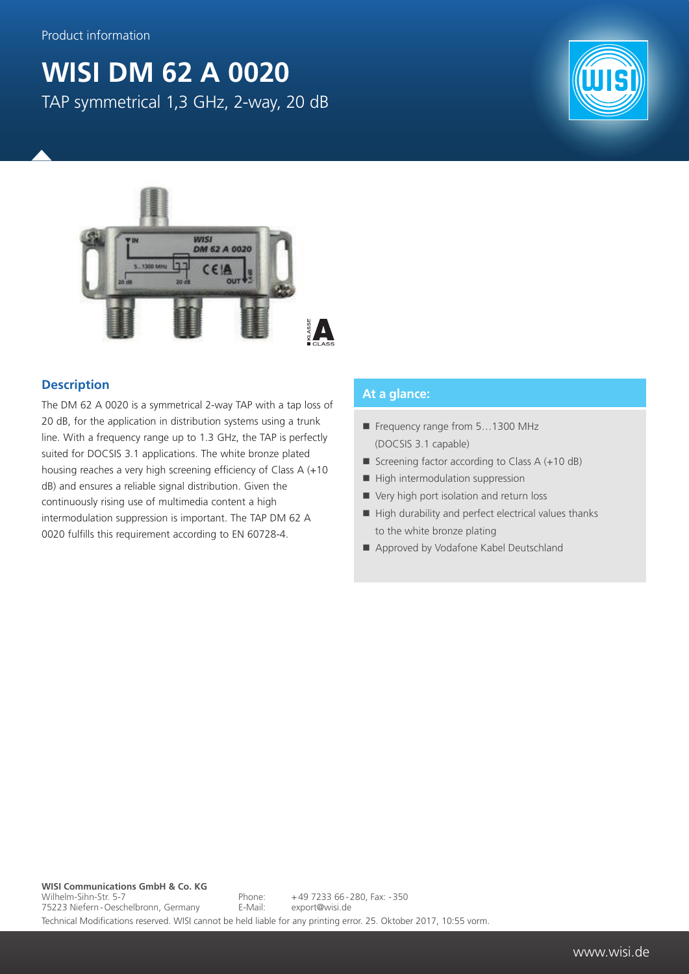## **WISI DM 62 A 0020** TAP symmetrical 1,3 GHz, 2-way, 20 dB





## **Description**

The DM 62 A 0020 is a symmetrical 2-way TAP with a tap loss of 20 dB, for the application in distribution systems using a trunk line. With a frequency range up to 1.3 GHz, the TAP is perfectly suited for DOCSIS 3.1 applications. The white bronze plated housing reaches a very high screening efficiency of Class A (+10 dB) and ensures a reliable signal distribution. Given the continuously rising use of multimedia content a high intermodulation suppression is important. The TAP DM 62 A 0020 fulfills this requirement according to EN 60728-4.

## **At a glance:**

- Frequency range from 5...1300 MHz (DOCSIS 3.1 capable)
- Screening factor according to Class  $A (+10 dB)$
- $\blacksquare$  High intermodulation suppression
- Very high port isolation and return loss
- $\blacksquare$  High durability and perfect electrical values thanks to the white bronze plating
- Approved by Vodafone Kabel Deutschland